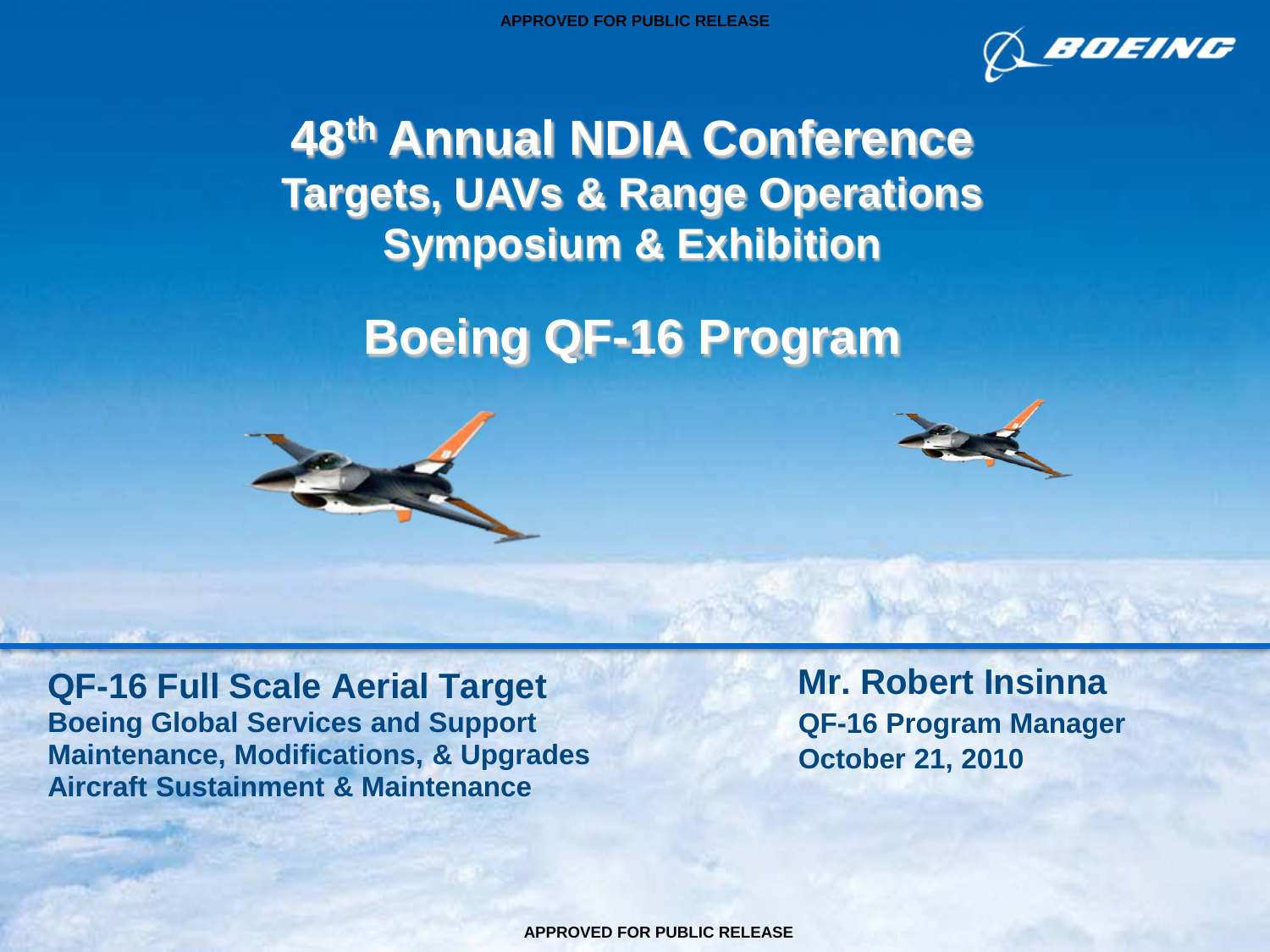

**48th Annual NDIA Conference Targets, UAVs & Range Operations Symposium & Exhibition**

**Boeing QF-16 Program**

**QF-16 Full Scale Aerial Target Boeing Global Services and Support Maintenance, Modifications, & Upgrades Aircraft Sustainment & Maintenance**

**Mr. Robert Insinna QF-16 Program Manager October 21, 2010**

**APPROVED FOR PUBLIC RELEASE**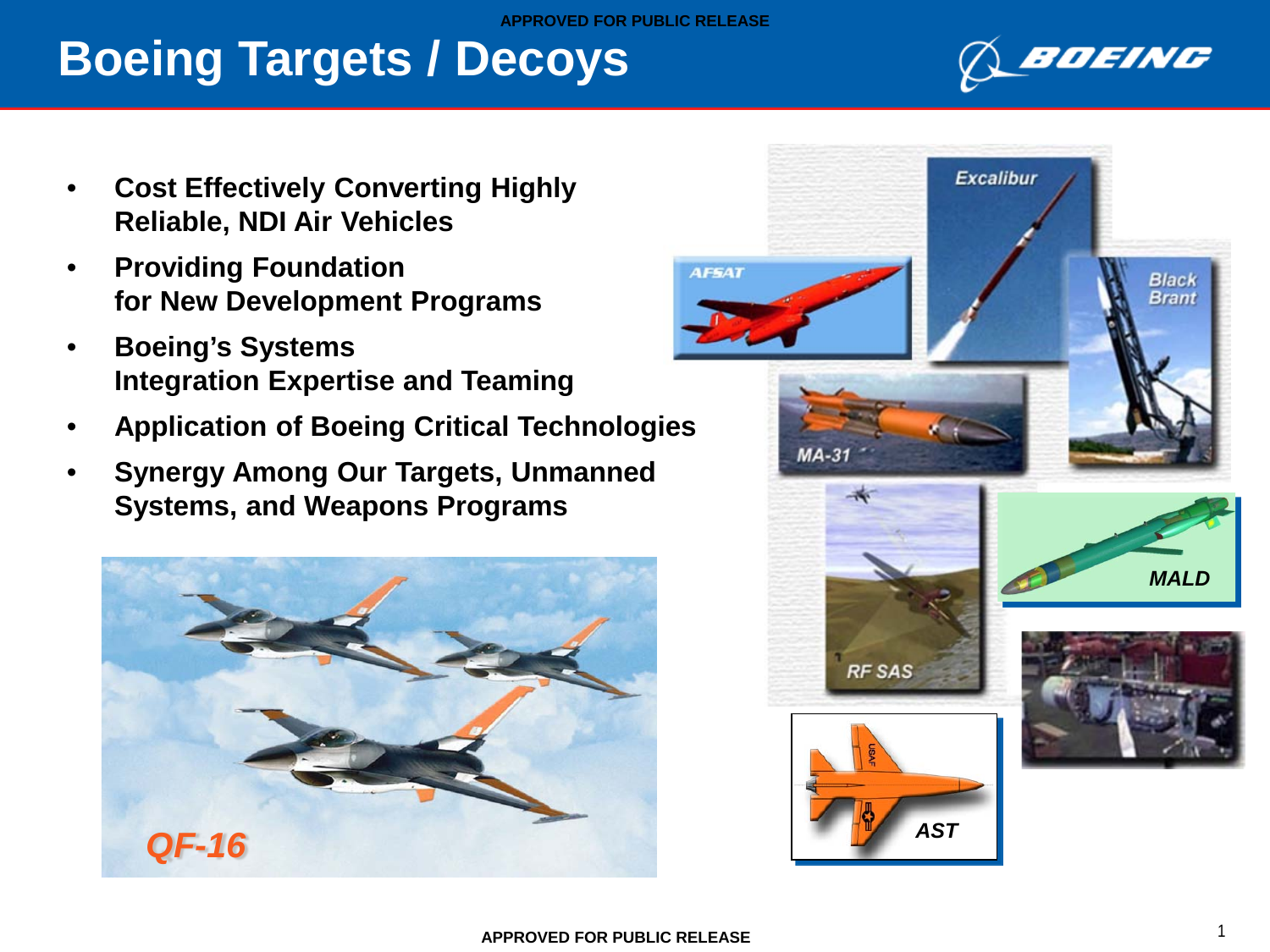## **Boeing Targets / Decoys**



- **Cost Effectively Converting Highly Reliable, NDI Air Vehicles**
- **Providing Foundation for New Development Programs**
- **Boeing's Systems Integration Expertise and Teaming**
- **Application of Boeing Critical Technologies**
- **Synergy Among Our Targets, Unmanned Systems, and Weapons Programs**



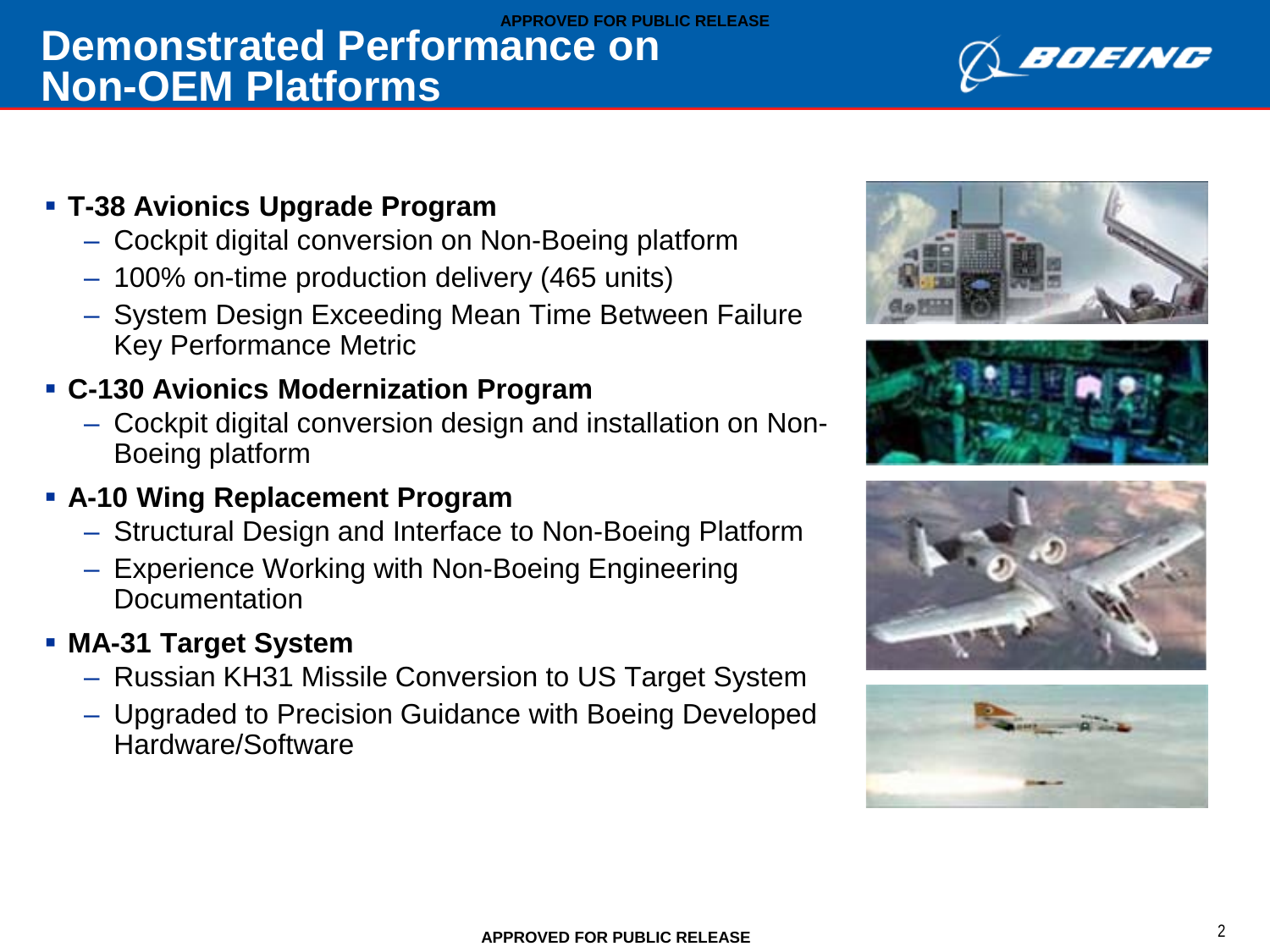### – System Design Exceeding Mean Time Between Failure Key Performance Metric

– Cockpit digital conversion on Non-Boeing platform

– 100% on-time production delivery (465 units)

### **C-130 Avionics Modernization Program**

– Cockpit digital conversion design and installation on Non-Boeing platform

### **A-10 Wing Replacement Program**

**T-38 Avionics Upgrade Program**

- Structural Design and Interface to Non-Boeing Platform
- Experience Working with Non-Boeing Engineering Documentation

### **MA-31 Target System**

- Russian KH31 Missile Conversion to US Target System
- Upgraded to Precision Guidance with Boeing Developed Hardware/Software

#### **APPROVED FOR PUBLIC RELEASE**

# **Demonstrated Performance on Non-OEM Platforms**







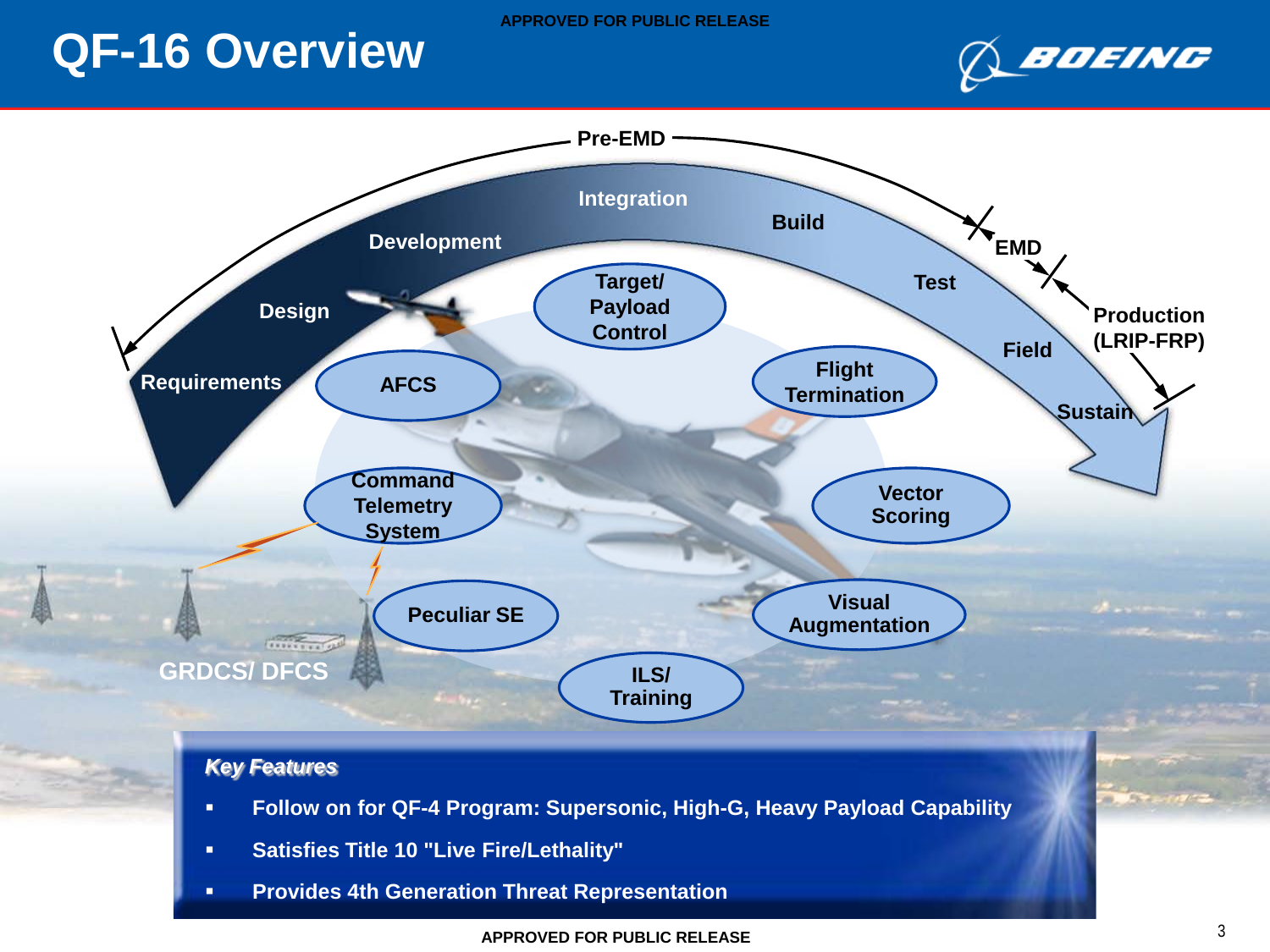## **QF-16 Overview**





### *Key Features*

- **Follow on for QF-4 Program: Supersonic, High-G, Heavy Payload Capability**
- **Satisfies Title 10 "Live Fire/Lethality"**
- **Provides 4th Generation Threat Representation**

**Witness**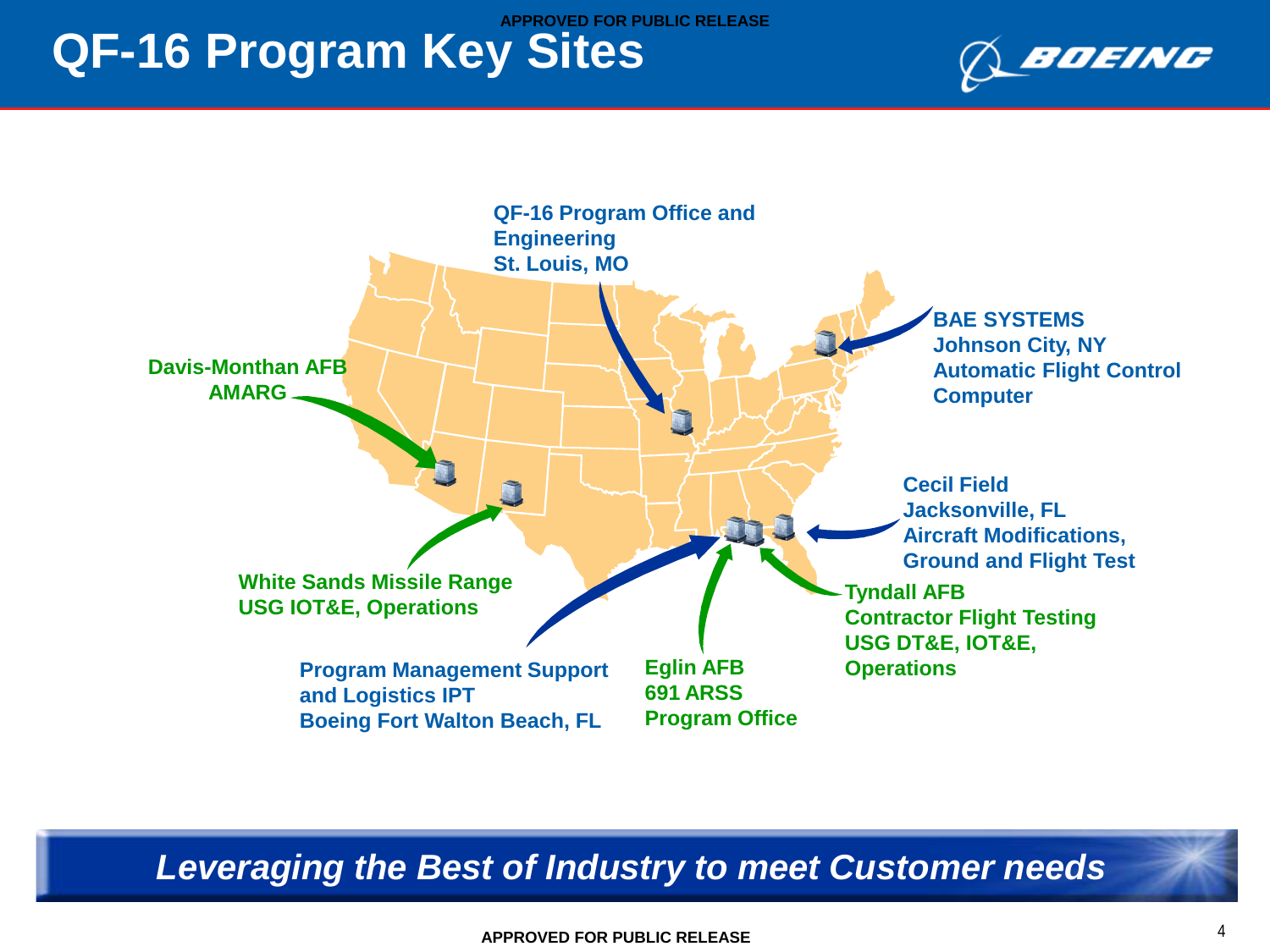### **APPROVED FOR PUBLIC RELEASE QF-16 Program Key Sites**





*Leveraging the Best of Industry to meet Customer needs*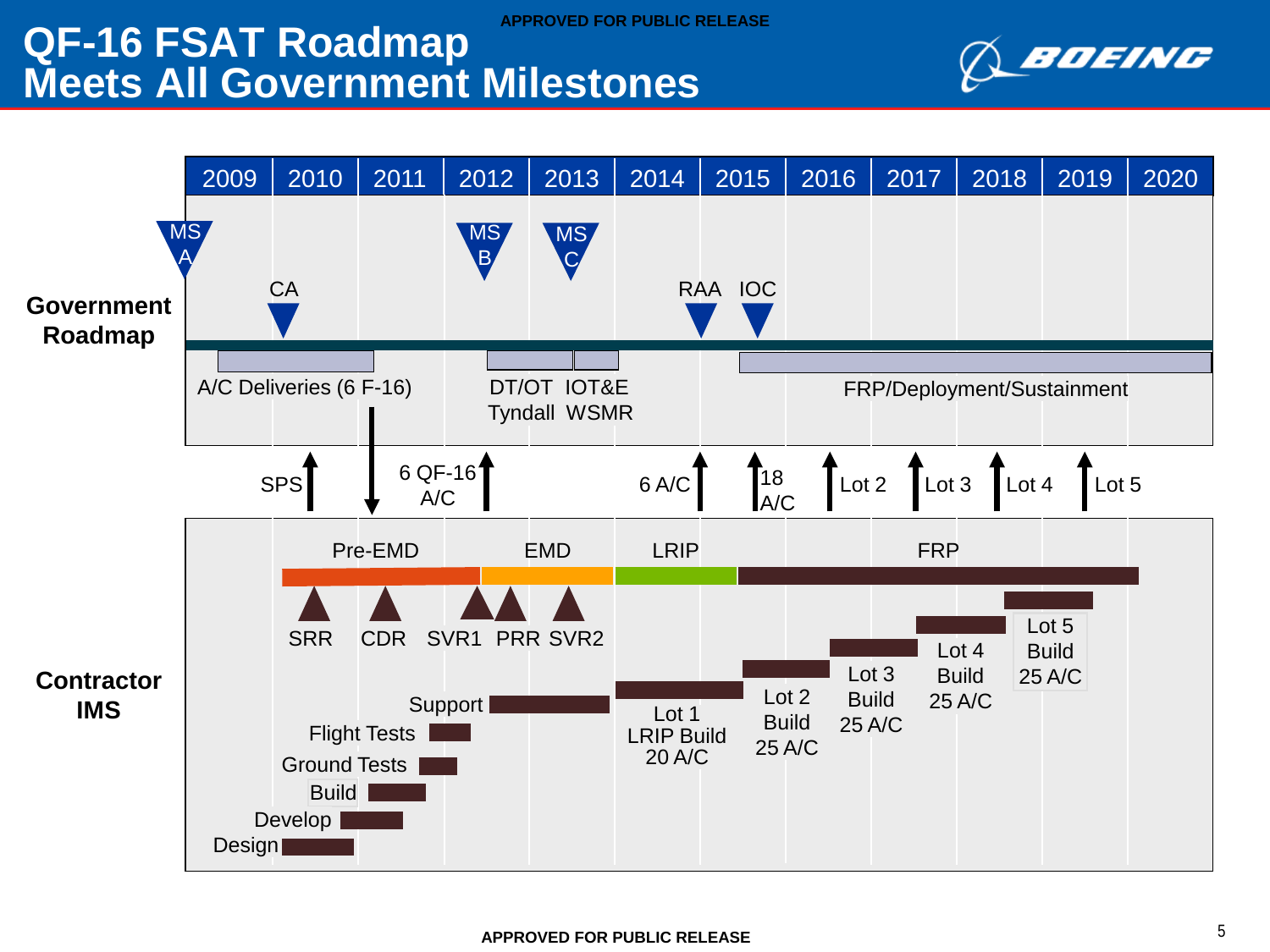### **APPROVED FOR PUBLIC RELEASE QF-16 FSAT Roadmap Meets All Government Milestones**



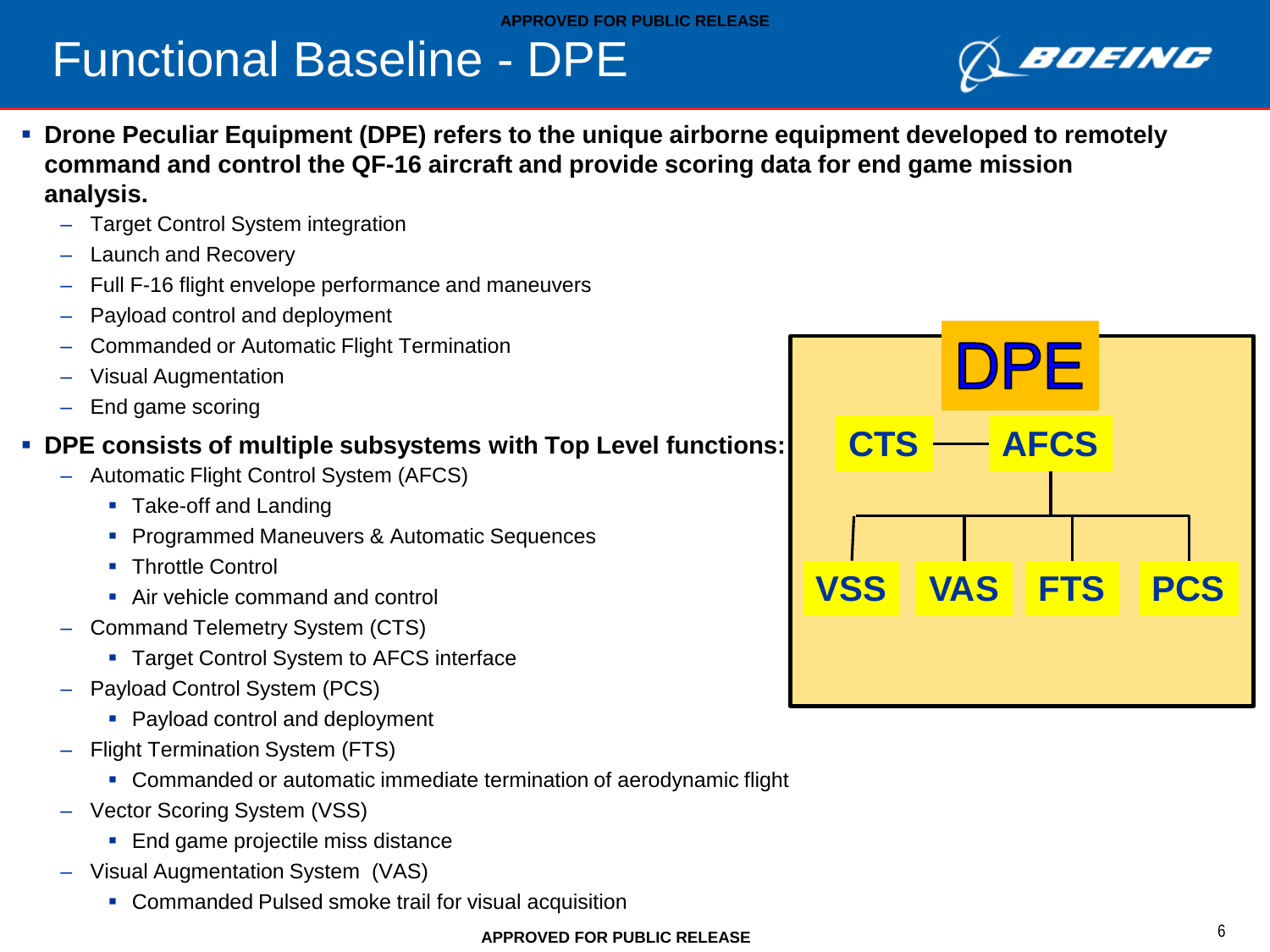## Functional Baseline - DPE

- **Drone Peculiar Equipment (DPE) refers to the unique airborne equipment developed to remotely command and control the QF-16 aircraft and provide scoring data for end game mission analysis.** 
	- Target Control System integration
	- Launch and Recovery
	- Full F-16 flight envelope performance and maneuvers
	- Payload control and deployment
	- Commanded or Automatic Flight Termination
	- Visual Augmentation
	- End game scoring

### **DPE consists of multiple subsystems with Top Level functions:**

- Automatic Flight Control System (AFCS)
	- **Take-off and Landing**
	- **Programmed Maneuvers & Automatic Sequences**
	- **Throttle Control**
	- **Air vehicle command and control**
- Command Telemetry System (CTS)
	- **Target Control System to AFCS interface**
- Payload Control System (PCS)
	- **Payload control and deployment**
- Flight Termination System (FTS)
	- Commanded or automatic immediate termination of aerodynamic flight
- Vector Scoring System (VSS)
	- **End game projectile miss distance**
- Visual Augmentation System (VAS)
	- Commanded Pulsed smoke trail for visual acquisition



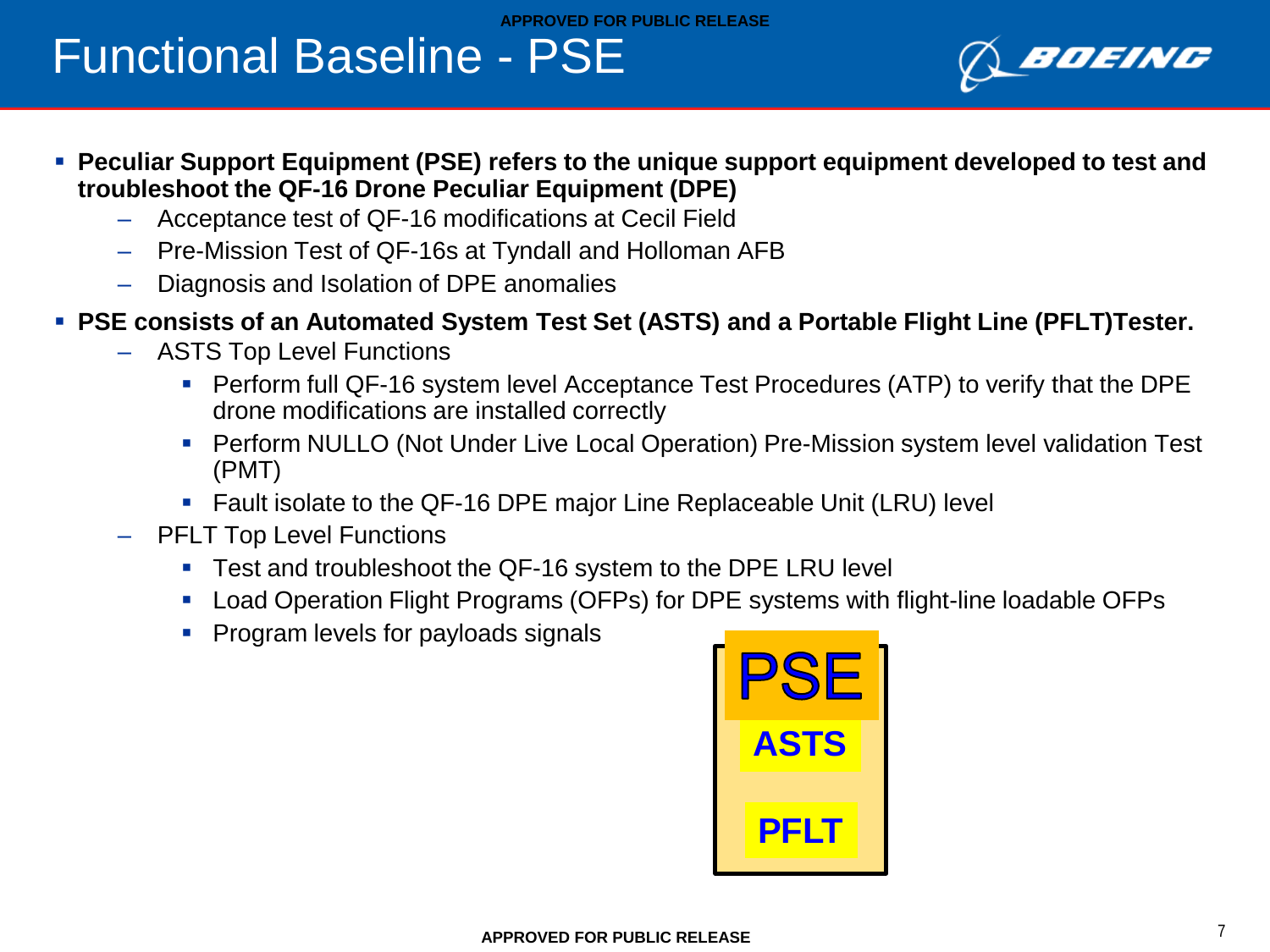## Functional Baseline - PSE



- **Peculiar Support Equipment (PSE) refers to the unique support equipment developed to test and troubleshoot the QF-16 Drone Peculiar Equipment (DPE)**
	- Acceptance test of QF-16 modifications at Cecil Field
	- Pre-Mission Test of QF-16s at Tyndall and Holloman AFB
	- Diagnosis and Isolation of DPE anomalies
- **PSE consists of an Automated System Test Set (ASTS) and a Portable Flight Line (PFLT)Tester.**
	- ASTS Top Level Functions
		- Perform full QF-16 system level Acceptance Test Procedures (ATP) to verify that the DPE drone modifications are installed correctly
		- Perform NULLO (Not Under Live Local Operation) Pre-Mission system level validation Test (PMT)
		- Fault isolate to the QF-16 DPE major Line Replaceable Unit (LRU) level
	- PFLT Top Level Functions
		- **Test and troubleshoot the QF-16 system to the DPE LRU level**
		- Load Operation Flight Programs (OFPs) for DPE systems with flight-line loadable OFPs
		- **Program levels for payloads signals**

**ASTS PFLT**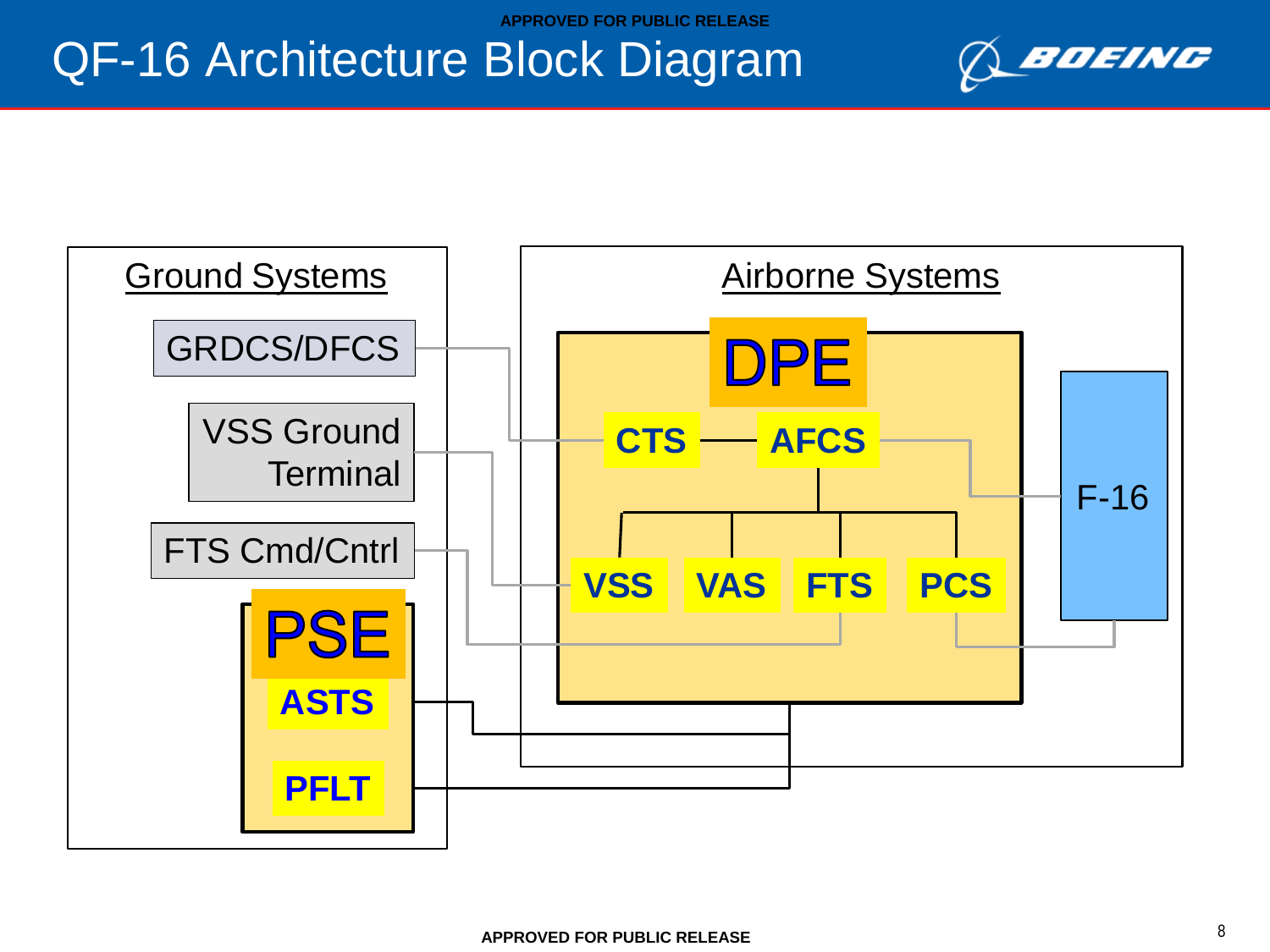### QF-16 Architecture Block Diagram



*BOEING*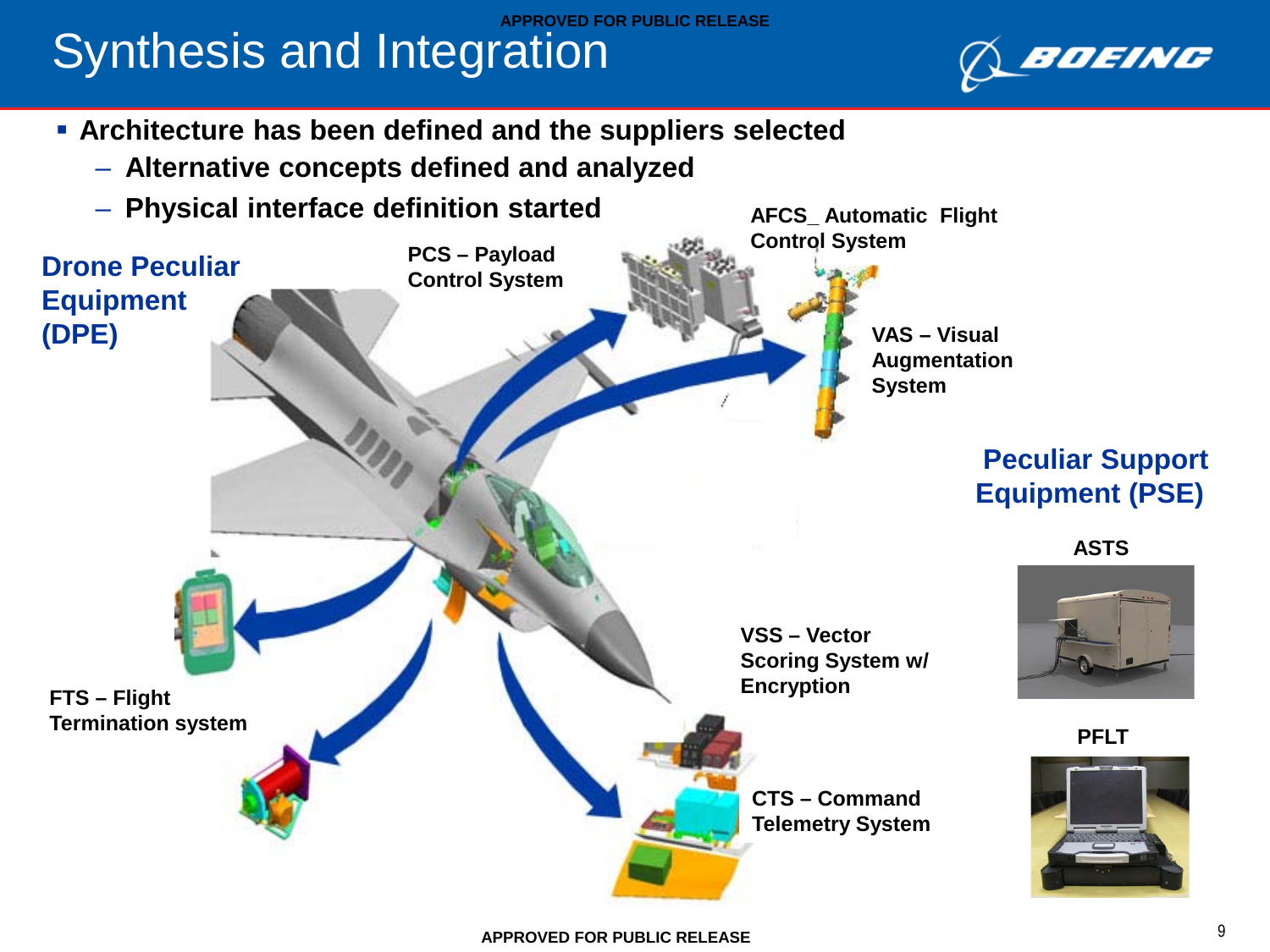### **APPROVED FOR PUBLIC RELEASE** Synthesis and Integration



- **Architecture has been defined and the suppliers selected**
	- **Alternative concepts defined and analyzed**
- **Physical interface definition started Drone Peculiar Equipment (DPE) AFCS\_ Automatic Flight Control System FTS – Flight Termination system CTS – Command Telemetry System PCS – Payload Control System VSS – Vector Scoring System w/ Encryption VAS – Visual Augmentation System**







**PFLT**

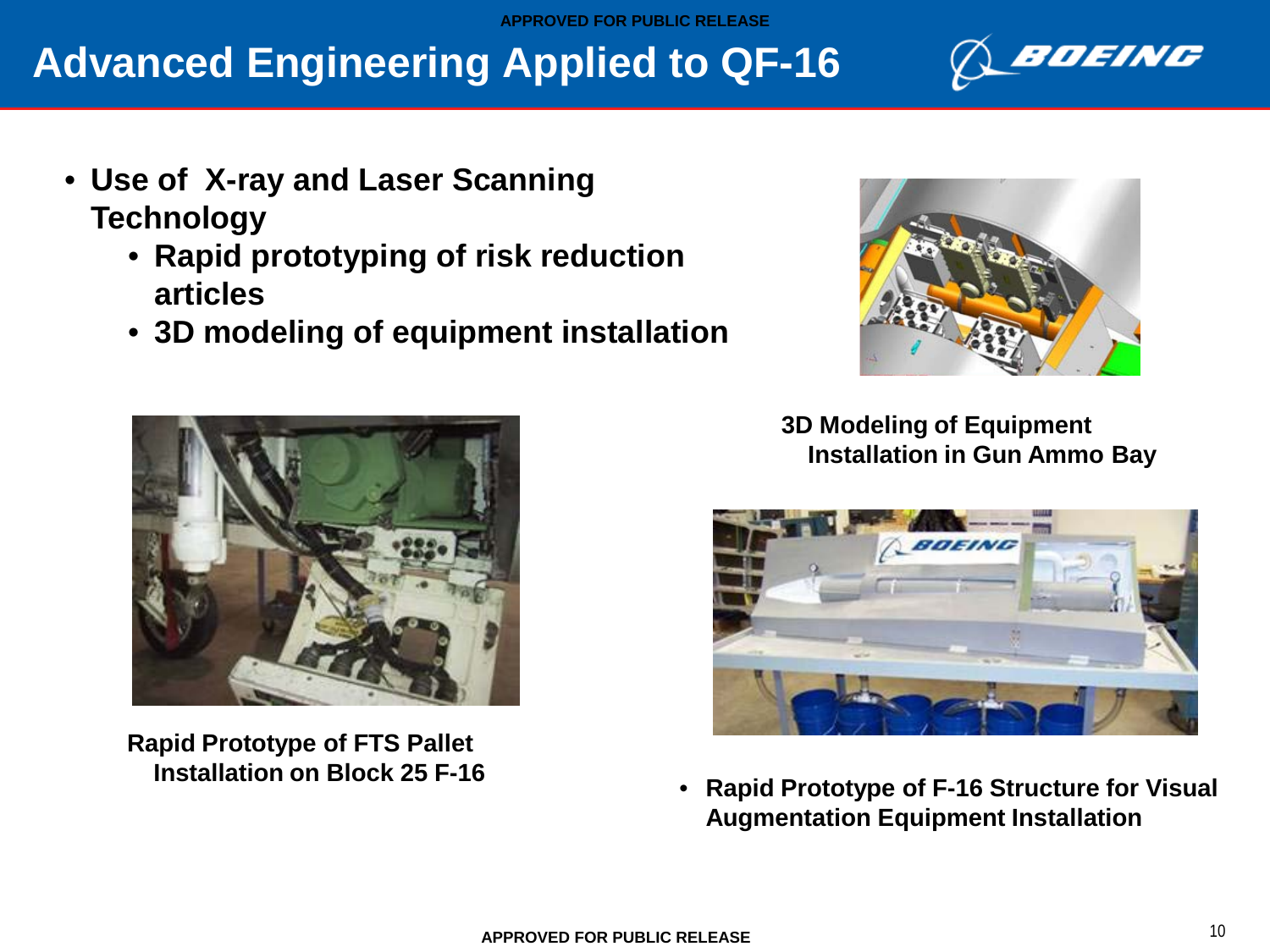### **Advanced Engineering Applied to QF-16**

- **Use of X-ray and Laser Scanning Technology**
	- **Rapid prototyping of risk reduction articles**
	- **3D modeling of equipment installation**

**3D Modeling of Equipment Installation in Gun Ammo Bay**





• **Rapid Prototype of F-16 Structure for Visual** 

**Augmentation Equipment Installation**



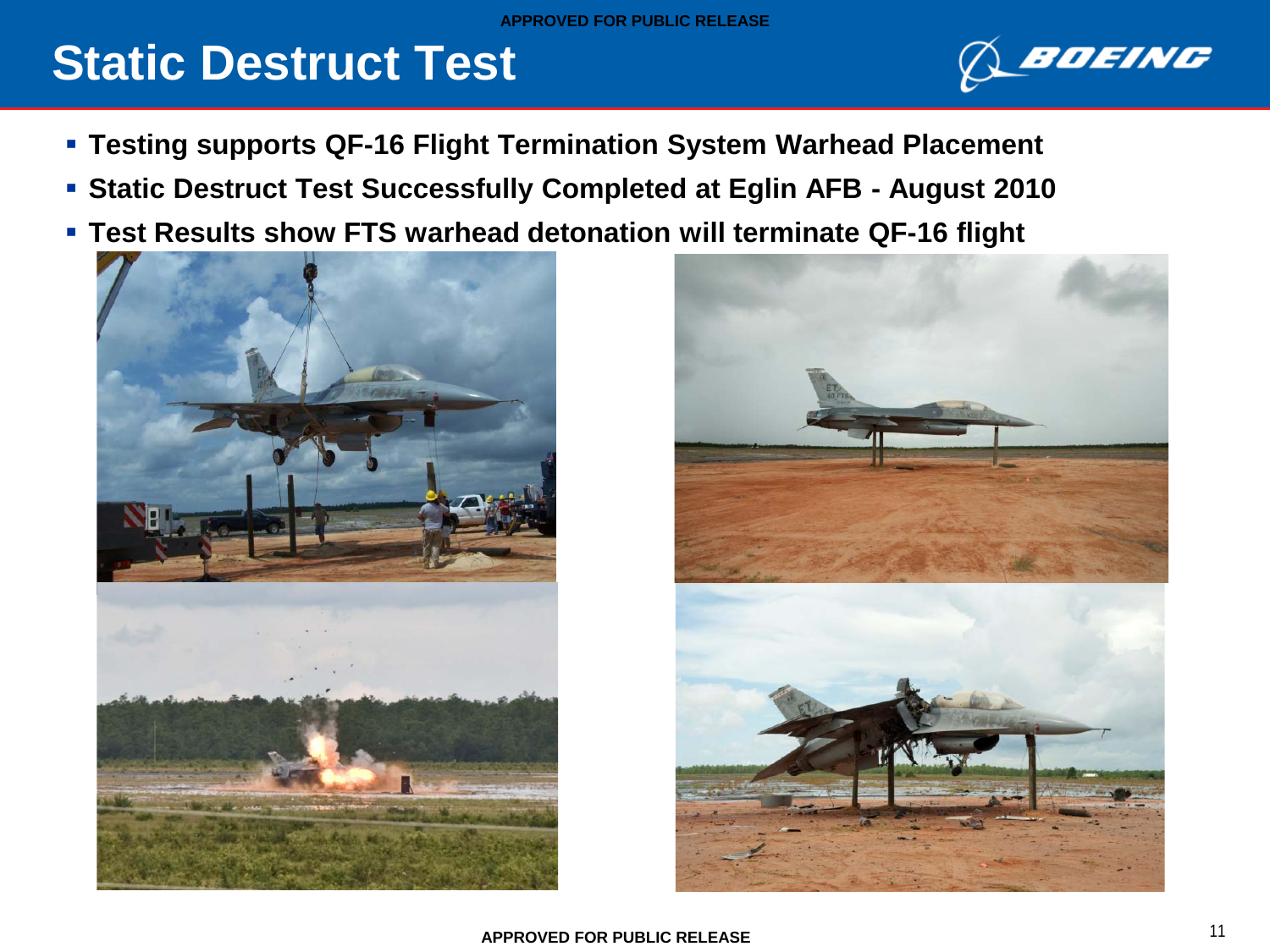## **Static Destruct Test**



- **Testing supports QF-16 Flight Termination System Warhead Placement**
- **Static Destruct Test Successfully Completed at Eglin AFB - August 2010**
- **Test Results show FTS warhead detonation will terminate QF-16 flight**



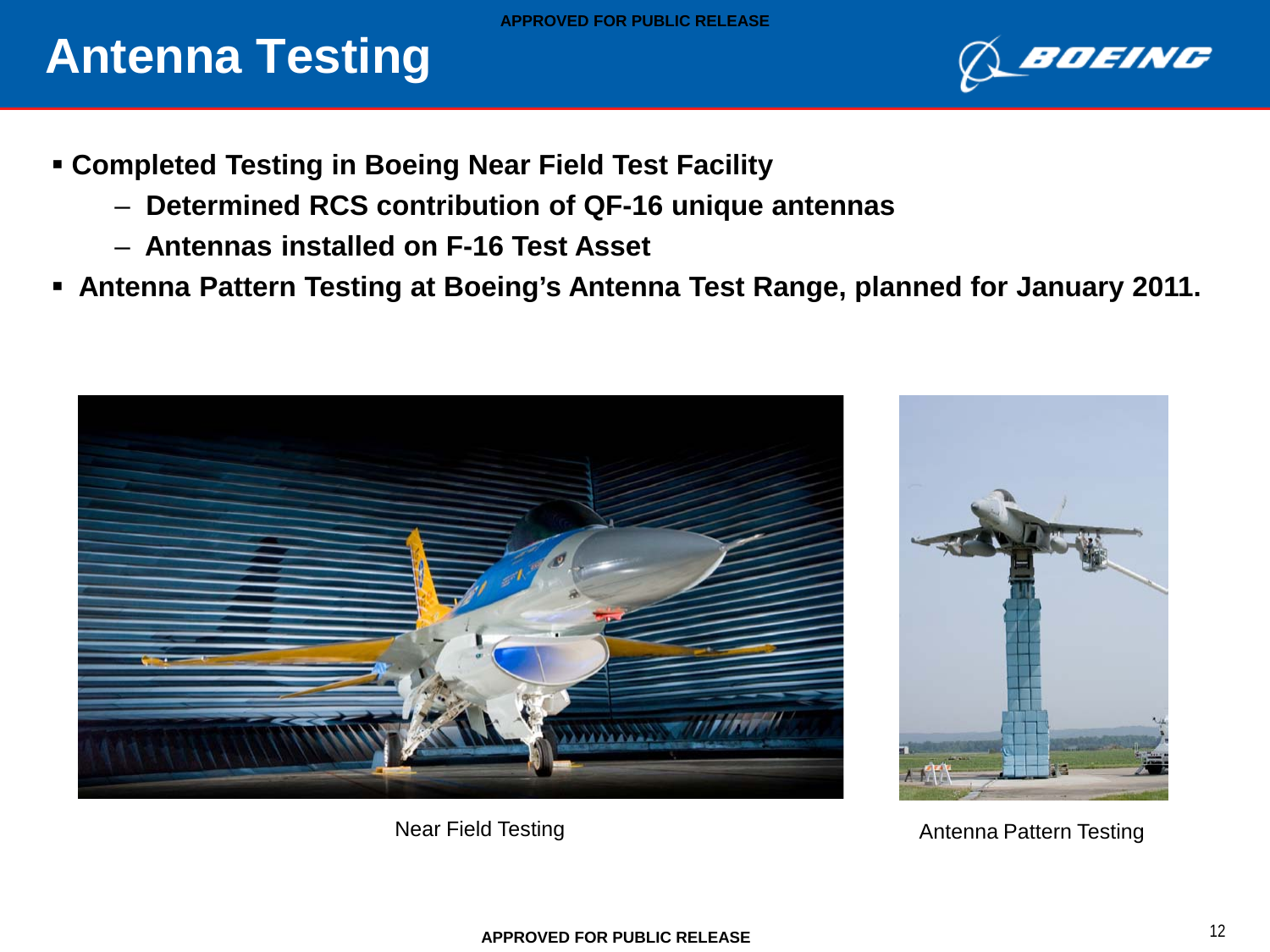## **Antenna Testing**



- **Completed Testing in Boeing Near Field Test Facility**
	- **Determined RCS contribution of QF-16 unique antennas**
	- **Antennas installed on F-16 Test Asset**
- **Antenna Pattern Testing at Boeing's Antenna Test Range, planned for January 2011.**



Near Field Testing Antenna Pattern Testing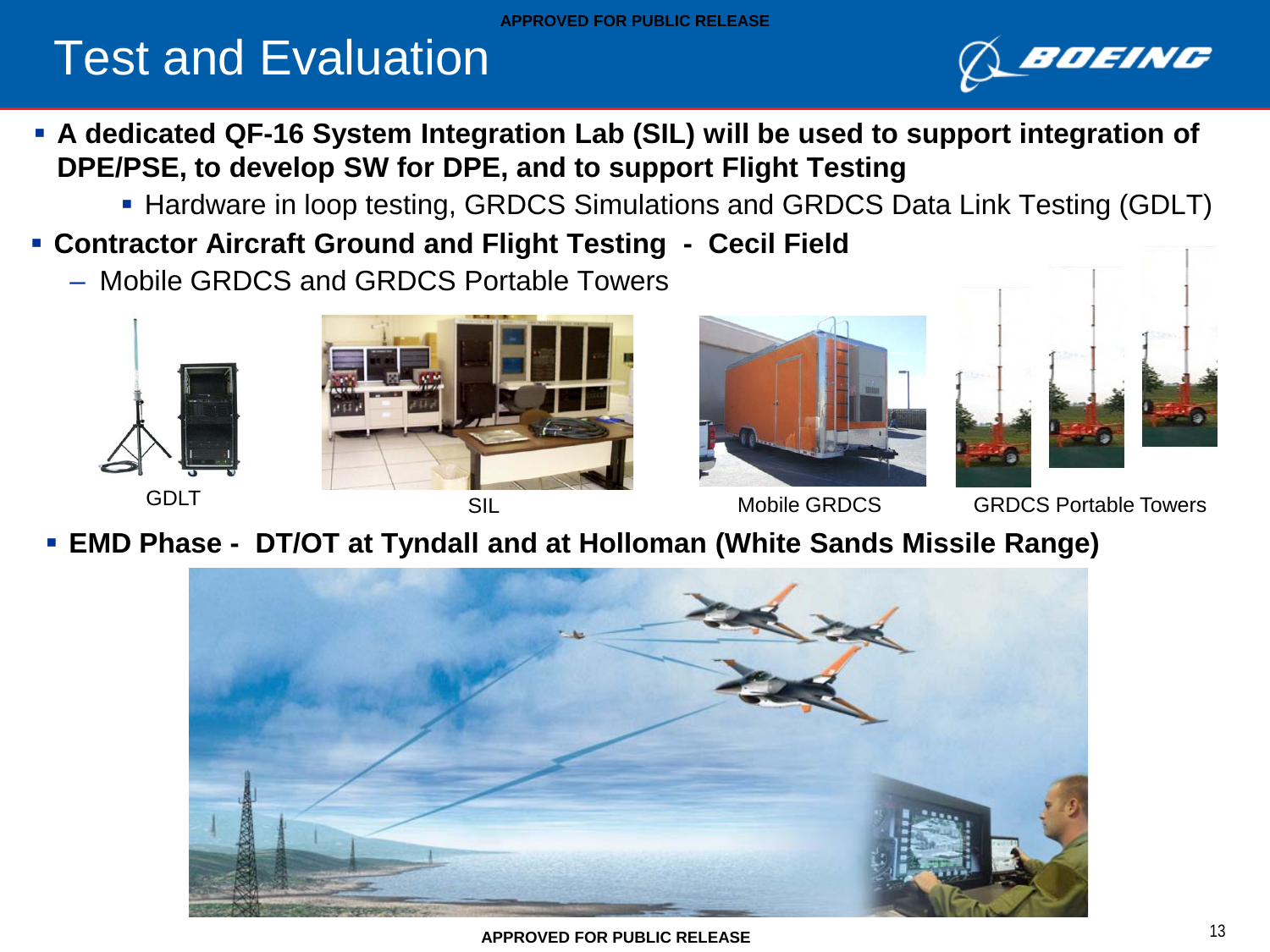## Test and Evaluation



- **A dedicated QF-16 System Integration Lab (SIL) will be used to support integration of DPE/PSE, to develop SW for DPE, and to support Flight Testing** 
	- **Hardware in loop testing, GRDCS Simulations and GRDCS Data Link Testing (GDLT)**
- **Contractor Aircraft Ground and Flight Testing - Cecil Field** 
	- Mobile GRDCS and GRDCS Portable Towers









**EMD Phase - DT/OT at Tyndall and at Holloman (White Sands Missile Range)**

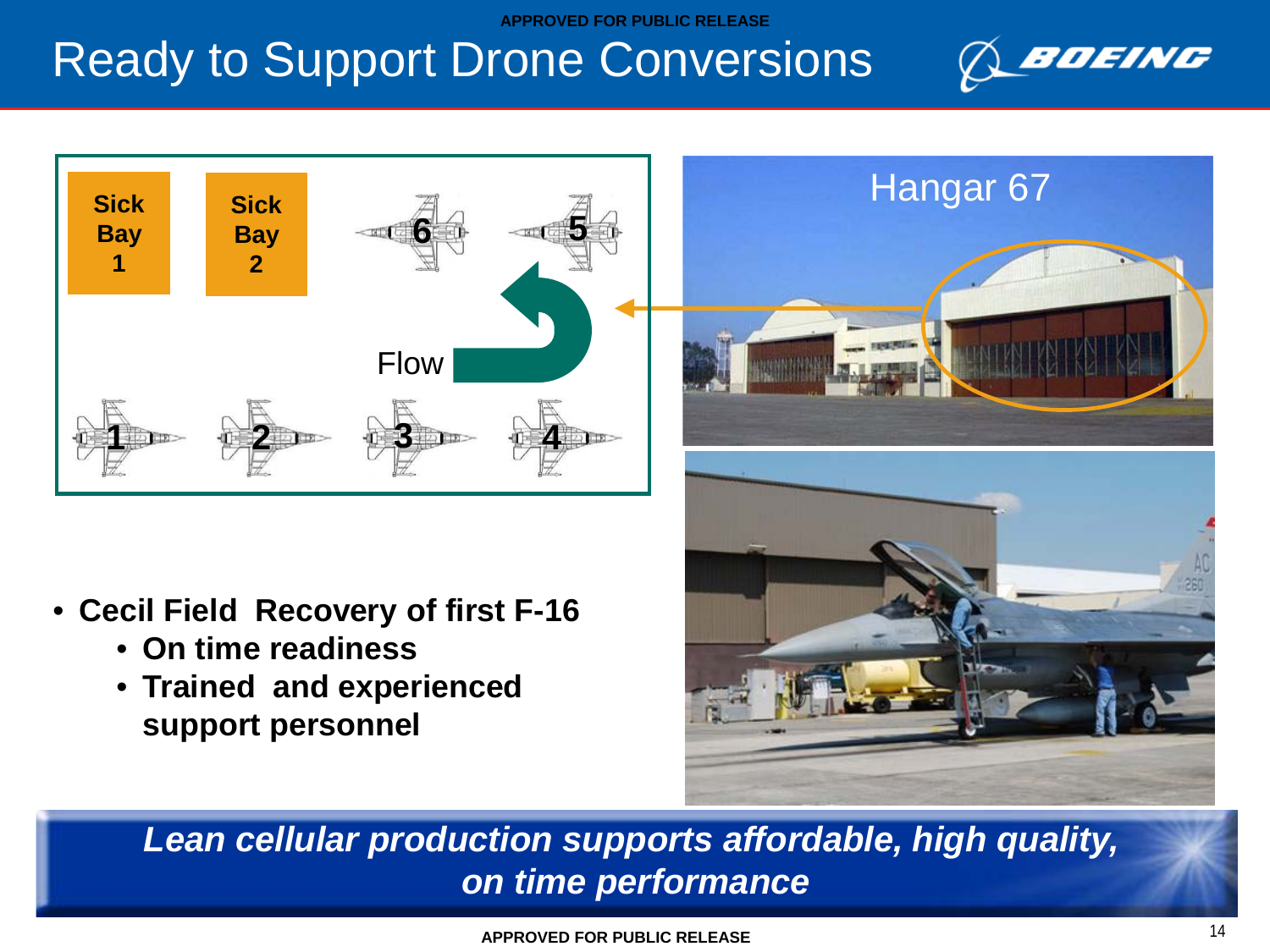## Ready to Support Drone Conversions





- **Cecil Field Recovery of first F-16**
	- **On time readiness**
	- **Trained and experienced support personnel**



*Lean cellular production supports affordable, high quality, on time performance*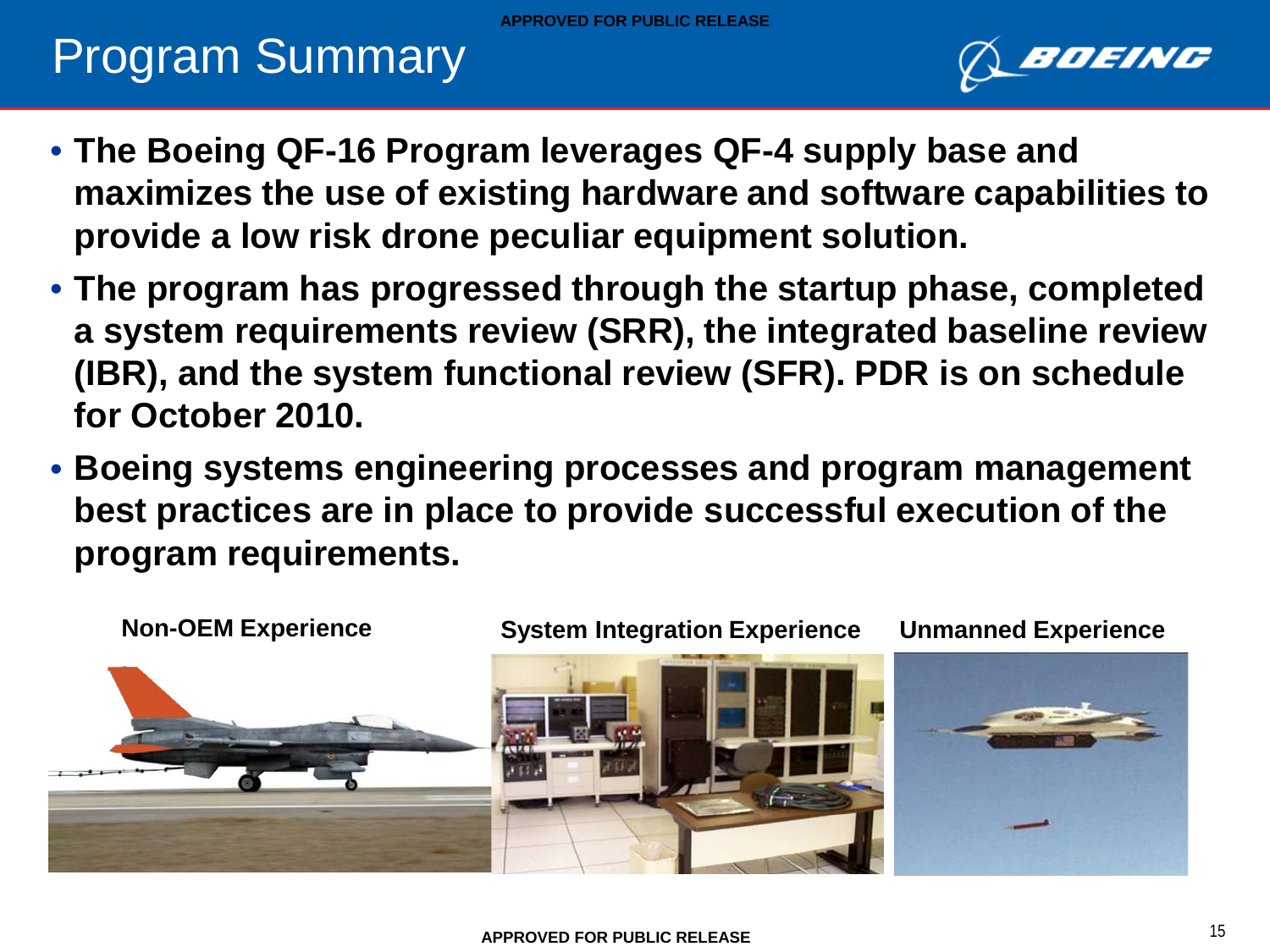## Program Summary



- **The Boeing QF-16 Program leverages QF-4 supply base and maximizes the use of existing hardware and software capabilities to provide a low risk drone peculiar equipment solution.**
- **The program has progressed through the startup phase, completed a system requirements review (SRR), the integrated baseline review (IBR), and the system functional review (SFR). PDR is on schedule for October 2010.**
- **Boeing systems engineering processes and program management best practices are in place to provide successful execution of the program requirements.**